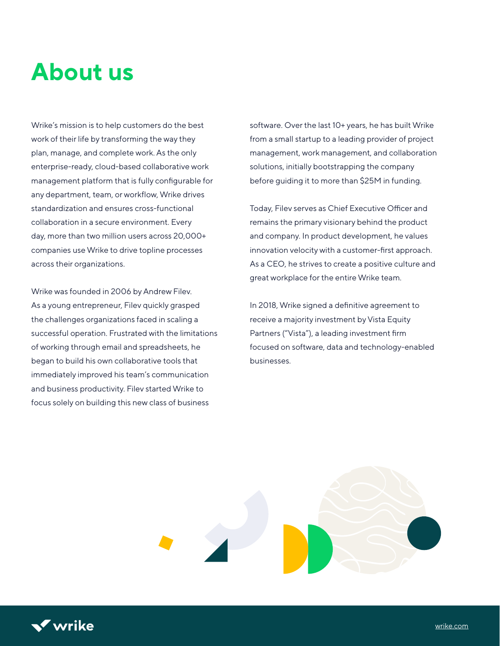## **About us**

Wrike's mission is to help customers do the best work of their life by transforming the way they plan, manage, and complete work. As the only enterprise-ready, cloud-based collaborative work management platform that is fully configurable for any department, team, or workflow, Wrike drives standardization and ensures cross-functional collaboration in a secure environment. Every day, more than two million users across 20,000+ companies use Wrike to drive topline processes across their organizations.

Wrike was founded in 2006 by Andrew Filev. As a young entrepreneur, Filev quickly grasped the challenges organizations faced in scaling a successful operation. Frustrated with the limitations of working through email and spreadsheets, he began to build his own collaborative tools that immediately improved his team's communication and business productivity. Filev started Wrike to focus solely on building this new class of business

software. Over the last 10+ years, he has built Wrike from a small startup to a leading provider of project management, work management, and collaboration solutions, initially bootstrapping the company before guiding it to more than \$25M in funding.

Today, Filev serves as Chief Executive Officer and remains the primary visionary behind the product and company. In product development, he values innovation velocity with a customer-first approach. As a CEO, he strives to create a positive culture and great workplace for the entire Wrike team.

In 2018, Wrike signed a definitive agreement to receive a majority investment by Vista Equity Partners ("Vista"), a leading investment firm focused on software, data and technology-enabled businesses.